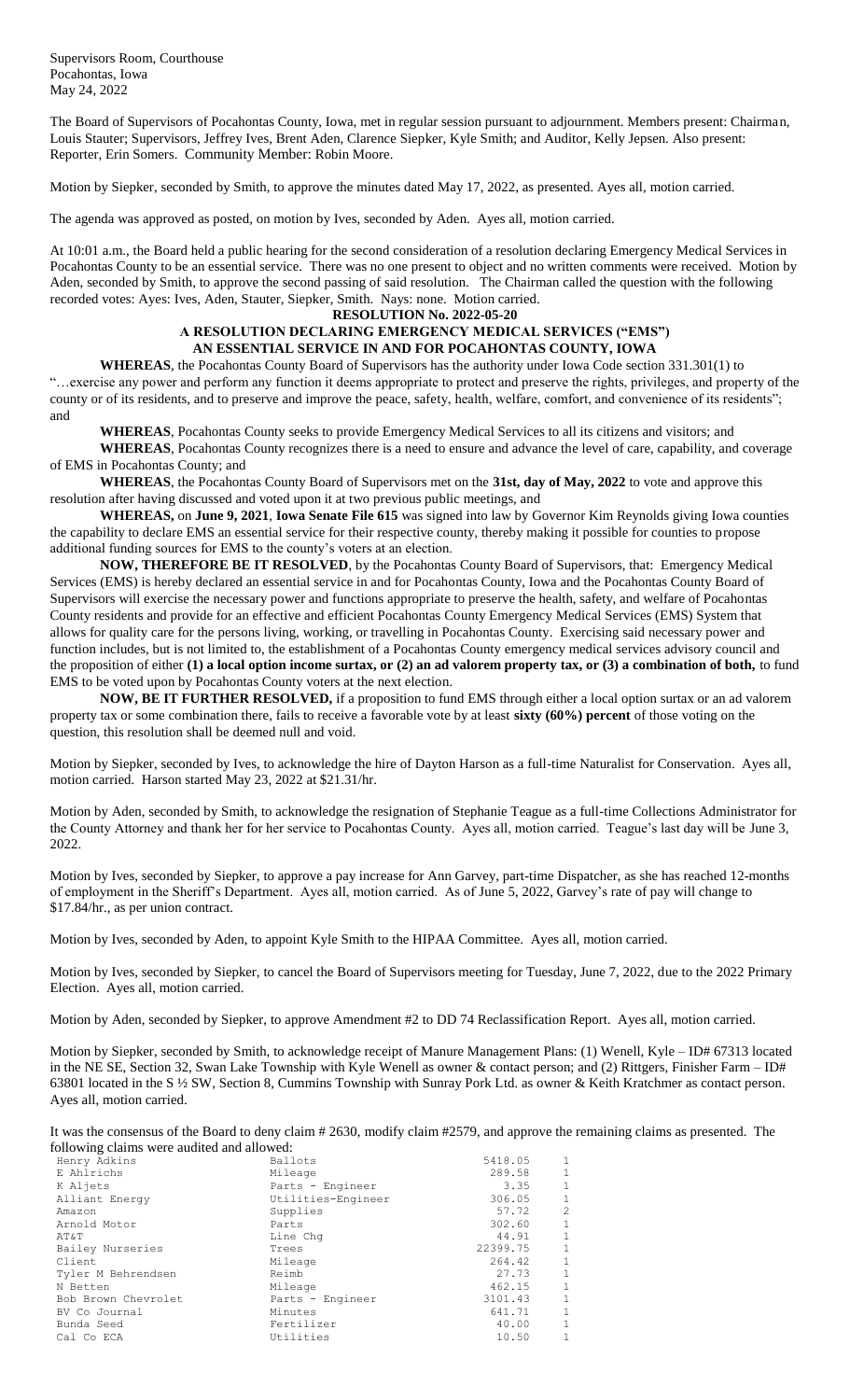Supervisors Room, Courthouse Pocahontas, Iowa May 24, 2022

The Board of Supervisors of Pocahontas County, Iowa, met in regular session pursuant to adjournment. Members present: Chairman, Louis Stauter; Supervisors, Jeffrey Ives, Brent Aden, Clarence Siepker, Kyle Smith; and Auditor, Kelly Jepsen. Also present: Reporter, Erin Somers. Community Member: Robin Moore.

Motion by Siepker, seconded by Smith, to approve the minutes dated May 17, 2022, as presented. Ayes all, motion carried.

The agenda was approved as posted, on motion by Ives, seconded by Aden. Ayes all, motion carried.

At 10:01 a.m., the Board held a public hearing for the second consideration of a resolution declaring Emergency Medical Services in Pocahontas County to be an essential service. There was no one present to object and no written comments were received. Motion by Aden, seconded by Smith, to approve the second passing of said resolution. The Chairman called the question with the following recorded votes: Ayes: Ives, Aden, Stauter, Siepker, Smith. Nays: none. Motion carried.

## **RESOLUTION No. 2022-05-20**

## **A RESOLUTION DECLARING EMERGENCY MEDICAL SERVICES ("EMS") AN ESSENTIAL SERVICE IN AND FOR POCAHONTAS COUNTY, IOWA**

**WHEREAS**, the Pocahontas County Board of Supervisors has the authority under Iowa Code section 331.301(1) to "…exercise any power and perform any function it deems appropriate to protect and preserve the rights, privileges, and property of the county or of its residents, and to preserve and improve the peace, safety, health, welfare, comfort, and convenience of its residents"; and

**WHEREAS**, Pocahontas County seeks to provide Emergency Medical Services to all its citizens and visitors; and

**WHEREAS**, Pocahontas County recognizes there is a need to ensure and advance the level of care, capability, and coverage of EMS in Pocahontas County; and

**WHEREAS**, the Pocahontas County Board of Supervisors met on the **31st, day of May, 2022** to vote and approve this resolution after having discussed and voted upon it at two previous public meetings, and

**WHEREAS,** on **June 9, 2021**, **Iowa Senate File 615** was signed into law by Governor Kim Reynolds giving Iowa counties the capability to declare EMS an essential service for their respective county, thereby making it possible for counties to propose additional funding sources for EMS to the county's voters at an election.

**NOW, THEREFORE BE IT RESOLVED**, by the Pocahontas County Board of Supervisors, that: Emergency Medical Services (EMS) is hereby declared an essential service in and for Pocahontas County, Iowa and the Pocahontas County Board of Supervisors will exercise the necessary power and functions appropriate to preserve the health, safety, and welfare of Pocahontas County residents and provide for an effective and efficient Pocahontas County Emergency Medical Services (EMS) System that allows for quality care for the persons living, working, or travelling in Pocahontas County. Exercising said necessary power and function includes, but is not limited to, the establishment of a Pocahontas County emergency medical services advisory council and the proposition of either **(1) a local option income surtax, or (2) an ad valorem property tax, or (3) a combination of both,** to fund EMS to be voted upon by Pocahontas County voters at the next election.

**NOW, BE IT FURTHER RESOLVED,** if a proposition to fund EMS through either a local option surtax or an ad valorem property tax or some combination there, fails to receive a favorable vote by at least **sixty (60%) percent** of those voting on the question, this resolution shall be deemed null and void.

Motion by Siepker, seconded by Ives, to acknowledge the hire of Dayton Harson as a full-time Naturalist for Conservation. Ayes all, motion carried. Harson started May 23, 2022 at \$21.31/hr.

Motion by Aden, seconded by Smith, to acknowledge the resignation of Stephanie Teague as a full-time Collections Administrator for the County Attorney and thank her for her service to Pocahontas County. Ayes all, motion carried. Teague's last day will be June 3, 2022.

Motion by Ives, seconded by Siepker, to approve a pay increase for Ann Garvey, part-time Dispatcher, as she has reached 12-months of employment in the Sheriff's Department. Ayes all, motion carried. As of June 5, 2022, Garvey's rate of pay will change to \$17.84/hr., as per union contract.

Motion by Ives, seconded by Aden, to appoint Kyle Smith to the HIPAA Committee. Ayes all, motion carried.

Motion by Ives, seconded by Siepker, to cancel the Board of Supervisors meeting for Tuesday, June 7, 2022, due to the 2022 Primary Election. Ayes all, motion carried.

Motion by Aden, seconded by Siepker, to approve Amendment #2 to DD 74 Reclassification Report. Ayes all, motion carried.

Motion by Siepker, seconded by Smith, to acknowledge receipt of Manure Management Plans: (1) Wenell, Kyle – ID# 67313 located in the NE SE, Section 32, Swan Lake Township with Kyle Wenell as owner & contact person; and (2) Rittgers, Finisher Farm – ID# 63801 located in the S ½ SW, Section 8, Cummins Township with Sunray Pork Ltd. as owner & Keith Kratchmer as contact person. Ayes all, motion carried.

It was the consensus of the Board to deny claim # 2630, modify claim #2579, and approve the remaining claims as presented. The following claims were audited and allowed:

| Ballots            | 5418.05  |               |
|--------------------|----------|---------------|
| Mileage            | 289.58   | 1             |
| Parts - Engineer   | 3.35     | $\mathbf{1}$  |
| Utilities-Engineer | 306.05   |               |
| Supplies           | 57.72    | $\mathcal{L}$ |
| Parts              | 302.60   | 1             |
| Line Chq           | 44.91    | $\mathbf{1}$  |
| Trees              | 22399.75 | $\mathbf{1}$  |
| Mileage            | 264.42   | $\mathbf{1}$  |
| Reimb              | 27.73    | 1             |
| Mileage            | 462.15   | $\mathbf{1}$  |
| Parts - Engineer   | 3101.43  | 1             |
| Minutes            | 641.71   | 1             |
| Fertilizer         | 40.00    | 1             |
| Utilities          | 10.50    | 1             |
|                    |          |               |